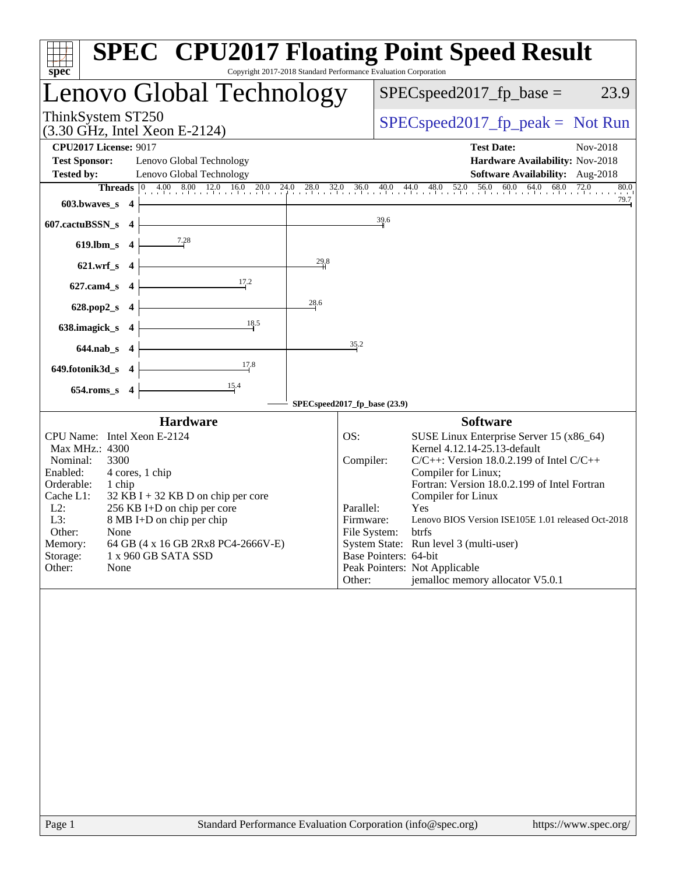| spec<br>Copyright 2017-2018 Standard Performance Evaluation Corporation                                                                                                                                                                                                                                                                                                                               |                                                      | <b>SPEC<sup>®</sup></b> CPU2017 Floating Point Speed Result                                                                                                                                                                                                                                                                                                                                                                                                          |  |  |  |
|-------------------------------------------------------------------------------------------------------------------------------------------------------------------------------------------------------------------------------------------------------------------------------------------------------------------------------------------------------------------------------------------------------|------------------------------------------------------|----------------------------------------------------------------------------------------------------------------------------------------------------------------------------------------------------------------------------------------------------------------------------------------------------------------------------------------------------------------------------------------------------------------------------------------------------------------------|--|--|--|
| Lenovo Global Technology                                                                                                                                                                                                                                                                                                                                                                              | $SPEC speed2017_fp\_base =$<br>23.9                  |                                                                                                                                                                                                                                                                                                                                                                                                                                                                      |  |  |  |
| ThinkSystem ST250<br>$(3.30 \text{ GHz}, \text{Intel Xeon E-2124})$                                                                                                                                                                                                                                                                                                                                   | $SPEC speed2017_fp\_peak = Not Run$                  |                                                                                                                                                                                                                                                                                                                                                                                                                                                                      |  |  |  |
| <b>CPU2017 License: 9017</b><br><b>Test Sponsor:</b><br>Lenovo Global Technology<br><b>Tested by:</b><br>Lenovo Global Technology                                                                                                                                                                                                                                                                     |                                                      | <b>Test Date:</b><br>Nov-2018<br>Hardware Availability: Nov-2018<br>Software Availability: Aug-2018<br>Lenovo Global Technology<br>Threads 0 4.00 8.00 12.0 16.0 20.0 24.0 28.0 32.0 36.0 40.0 44.0 48.0 52.0 56.0 60.0 64.0 68.0 72.0 80.0<br>179.7<br>80.0                                                                                                                                                                                                         |  |  |  |
| 603.bwaves_s $4$<br>607.cactuBSSN_s 4                                                                                                                                                                                                                                                                                                                                                                 |                                                      | $\frac{39.6}{4}$                                                                                                                                                                                                                                                                                                                                                                                                                                                     |  |  |  |
| 619.lbm_s 4 $\frac{7.28}{ }$                                                                                                                                                                                                                                                                                                                                                                          |                                                      |                                                                                                                                                                                                                                                                                                                                                                                                                                                                      |  |  |  |
| 621.wrf_s $4 \mid$                                                                                                                                                                                                                                                                                                                                                                                    | 29.8                                                 |                                                                                                                                                                                                                                                                                                                                                                                                                                                                      |  |  |  |
| 627.cam4_s 4 $\frac{17.2}{ }$                                                                                                                                                                                                                                                                                                                                                                         |                                                      |                                                                                                                                                                                                                                                                                                                                                                                                                                                                      |  |  |  |
| $628.pop2_s$ 4                                                                                                                                                                                                                                                                                                                                                                                        | 28.6                                                 |                                                                                                                                                                                                                                                                                                                                                                                                                                                                      |  |  |  |
| 18.5<br>638.imagick_s $4$                                                                                                                                                                                                                                                                                                                                                                             |                                                      |                                                                                                                                                                                                                                                                                                                                                                                                                                                                      |  |  |  |
| $644$ .nab_s 4                                                                                                                                                                                                                                                                                                                                                                                        | 35.2                                                 |                                                                                                                                                                                                                                                                                                                                                                                                                                                                      |  |  |  |
| 17.8<br>$649.$ fotonik $3d_s$ 4                                                                                                                                                                                                                                                                                                                                                                       |                                                      |                                                                                                                                                                                                                                                                                                                                                                                                                                                                      |  |  |  |
| $654$ .roms_s 4                                                                                                                                                                                                                                                                                                                                                                                       | SPECspeed2017_fp_base (23.9)                         |                                                                                                                                                                                                                                                                                                                                                                                                                                                                      |  |  |  |
| <b>Hardware</b><br>CPU Name: Intel Xeon E-2124<br>Max MHz.: 4300<br>Nominal:<br>3300<br>Enabled:<br>4 cores, 1 chip<br>Orderable:<br>1 chip<br>Cache L1:<br>$32$ KB I + 32 KB D on chip per core<br>$L2$ :<br>256 KB I+D on chip per core<br>L3:<br>8 MB I+D on chip per chip<br>Other:<br>None<br>64 GB (4 x 16 GB 2Rx8 PC4-2666V-E)<br>Memory:<br>Storage:<br>1 x 960 GB SATA SSD<br>Other:<br>None | OS:<br>Compiler:<br>Parallel:<br>Firmware:<br>Other: | <b>Software</b><br>SUSE Linux Enterprise Server 15 (x86_64)<br>Kernel 4.12.14-25.13-default<br>$C/C++$ : Version 18.0.2.199 of Intel $C/C++$<br>Compiler for Linux;<br>Fortran: Version 18.0.2.199 of Intel Fortran<br>Compiler for Linux<br>Yes<br>Lenovo BIOS Version ISE105E 1.01 released Oct-2018<br>File System: btrfs<br>System State: Run level 3 (multi-user)<br>Base Pointers: 64-bit<br>Peak Pointers: Not Applicable<br>jemalloc memory allocator V5.0.1 |  |  |  |
|                                                                                                                                                                                                                                                                                                                                                                                                       |                                                      |                                                                                                                                                                                                                                                                                                                                                                                                                                                                      |  |  |  |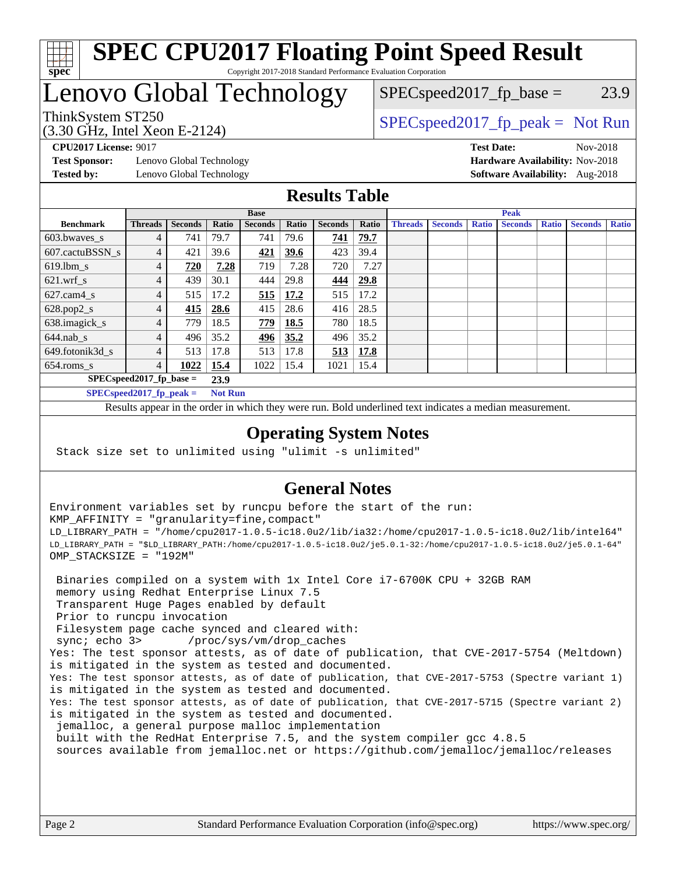

## **[SPEC CPU2017 Floating Point Speed Result](http://www.spec.org/auto/cpu2017/Docs/result-fields.html#SPECCPU2017FloatingPointSpeedResult)** Copyright 2017-2018 Standard Performance Evaluation Corporation

# Lenovo Global Technology

(3.30 GHz, Intel Xeon E-2124)

 $SPEC speed2017_fp\_base = 23.9$ 

ThinkSystem ST250  $SPEC speed2017$  [p\_peak = Not Run

**[Test Sponsor:](http://www.spec.org/auto/cpu2017/Docs/result-fields.html#TestSponsor)** Lenovo Global Technology **[Hardware Availability:](http://www.spec.org/auto/cpu2017/Docs/result-fields.html#HardwareAvailability)** Nov-2018 **[Tested by:](http://www.spec.org/auto/cpu2017/Docs/result-fields.html#Testedby)** Lenovo Global Technology **[Software Availability:](http://www.spec.org/auto/cpu2017/Docs/result-fields.html#SoftwareAvailability)** Aug-2018

**[CPU2017 License:](http://www.spec.org/auto/cpu2017/Docs/result-fields.html#CPU2017License)** 9017 **[Test Date:](http://www.spec.org/auto/cpu2017/Docs/result-fields.html#TestDate)** Nov-2018

## **[Results Table](http://www.spec.org/auto/cpu2017/Docs/result-fields.html#ResultsTable)**

|                  | <b>Base</b>                |                |                |                |       |                | <b>Peak</b> |                |                |              |                |              |                |              |
|------------------|----------------------------|----------------|----------------|----------------|-------|----------------|-------------|----------------|----------------|--------------|----------------|--------------|----------------|--------------|
| <b>Benchmark</b> | <b>Threads</b>             | <b>Seconds</b> | Ratio          | <b>Seconds</b> | Ratio | <b>Seconds</b> | Ratio       | <b>Threads</b> | <b>Seconds</b> | <b>Ratio</b> | <b>Seconds</b> | <b>Ratio</b> | <b>Seconds</b> | <b>Ratio</b> |
| 603.bwayes s     | 4                          | 741            | 79.7           | 741            | 79.6  | 741            | 79.7        |                |                |              |                |              |                |              |
| 607.cactuBSSN s  | 4                          | 421            | 39.6           | 421            | 39.6  | 423            | 39.4        |                |                |              |                |              |                |              |
| $619.$ lbm s     | 4                          | 720            | 7.28           | 719            | 7.28  | 720            | 7.27        |                |                |              |                |              |                |              |
| $621.wrf$ s      | 4                          | 439            | 30.1           | 444            | 29.8  | 444            | 29.8        |                |                |              |                |              |                |              |
| $627.cam4_s$     | 4                          | 515            | 17.2           | 515            | 17.2  | 515            | 17.2        |                |                |              |                |              |                |              |
| $628.pop2_s$     | 4                          | 415            | 28.6           | 415            | 28.6  | 416            | 28.5        |                |                |              |                |              |                |              |
| 638.imagick_s    | $\overline{4}$             | 779            | 18.5           | 779            | 18.5  | 780            | 18.5        |                |                |              |                |              |                |              |
| $644$ .nab s     | 4                          | 496            | 35.2           | 496            | 35.2  | 496            | 35.2        |                |                |              |                |              |                |              |
| 649.fotonik3d s  | 4                          | 513            | 17.8           | 513            | 17.8  | 513            | 17.8        |                |                |              |                |              |                |              |
| $654$ .roms s    | 4                          | 1022           | 15.4           | 1022           | 15.4  | 1021           | 15.4        |                |                |              |                |              |                |              |
|                  | $SPEC speed2017$ fp base = |                | 23.9           |                |       |                |             |                |                |              |                |              |                |              |
|                  | SPECspeed 2017 fp peak $=$ |                | <b>Not Run</b> |                |       |                |             |                |                |              |                |              |                |              |

Results appear in the [order in which they were run.](http://www.spec.org/auto/cpu2017/Docs/result-fields.html#RunOrder) Bold underlined text [indicates a median measurement](http://www.spec.org/auto/cpu2017/Docs/result-fields.html#Median).

### **[Operating System Notes](http://www.spec.org/auto/cpu2017/Docs/result-fields.html#OperatingSystemNotes)**

Stack size set to unlimited using "ulimit -s unlimited"

## **[General Notes](http://www.spec.org/auto/cpu2017/Docs/result-fields.html#GeneralNotes)**

Environment variables set by runcpu before the start of the run: KMP\_AFFINITY = "granularity=fine,compact" LD\_LIBRARY\_PATH = "/home/cpu2017-1.0.5-ic18.0u2/lib/ia32:/home/cpu2017-1.0.5-ic18.0u2/lib/intel64" LD\_LIBRARY\_PATH = "\$LD\_LIBRARY\_PATH:/home/cpu2017-1.0.5-ic18.0u2/je5.0.1-32:/home/cpu2017-1.0.5-ic18.0u2/je5.0.1-64" OMP\_STACKSIZE = "192M"

 Binaries compiled on a system with 1x Intel Core i7-6700K CPU + 32GB RAM memory using Redhat Enterprise Linux 7.5 Transparent Huge Pages enabled by default Prior to runcpu invocation Filesystem page cache synced and cleared with: sync; echo 3> /proc/sys/vm/drop\_caches Yes: The test sponsor attests, as of date of publication, that CVE-2017-5754 (Meltdown) is mitigated in the system as tested and documented. Yes: The test sponsor attests, as of date of publication, that CVE-2017-5753 (Spectre variant 1) is mitigated in the system as tested and documented. Yes: The test sponsor attests, as of date of publication, that CVE-2017-5715 (Spectre variant 2) is mitigated in the system as tested and documented. jemalloc, a general purpose malloc implementation built with the RedHat Enterprise 7.5, and the system compiler gcc 4.8.5 sources available from jemalloc.net or <https://github.com/jemalloc/jemalloc/releases>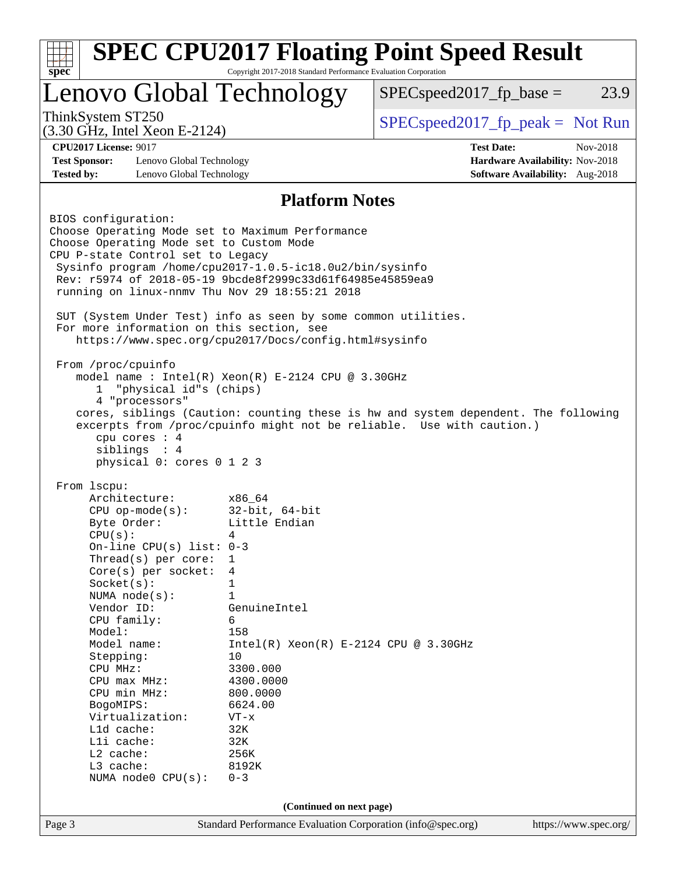| Lenovo Global Technology                                                                                                                                                                                                                                                                                                                                                                              |                                                       | $SPEC speed2017_fp\_base =$                                                                                                                                 | 23.9     |
|-------------------------------------------------------------------------------------------------------------------------------------------------------------------------------------------------------------------------------------------------------------------------------------------------------------------------------------------------------------------------------------------------------|-------------------------------------------------------|-------------------------------------------------------------------------------------------------------------------------------------------------------------|----------|
| ThinkSystem ST250<br>$(3.30 \text{ GHz}, \text{Intel Xeon E-2124})$                                                                                                                                                                                                                                                                                                                                   |                                                       | $SPEC speed2017fr peak = Not Run$                                                                                                                           |          |
| <b>CPU2017 License: 9017</b>                                                                                                                                                                                                                                                                                                                                                                          |                                                       | <b>Test Date:</b>                                                                                                                                           | Nov-2018 |
| <b>Test Sponsor:</b><br>Lenovo Global Technology                                                                                                                                                                                                                                                                                                                                                      |                                                       | Hardware Availability: Nov-2018                                                                                                                             |          |
| <b>Tested by:</b><br>Lenovo Global Technology                                                                                                                                                                                                                                                                                                                                                         |                                                       | <b>Software Availability:</b> Aug-2018                                                                                                                      |          |
|                                                                                                                                                                                                                                                                                                                                                                                                       | <b>Platform Notes</b>                                 |                                                                                                                                                             |          |
| BIOS configuration:<br>Choose Operating Mode set to Maximum Performance<br>Choose Operating Mode set to Custom Mode<br>CPU P-state Control set to Legacy<br>Sysinfo program /home/cpu2017-1.0.5-ic18.0u2/bin/sysinfo<br>Rev: r5974 of 2018-05-19 9bcde8f2999c33d61f64985e45859ea9<br>running on linux-nnmv Thu Nov 29 18:55:21 2018<br>SUT (System Under Test) info as seen by some common utilities. |                                                       |                                                                                                                                                             |          |
| For more information on this section, see                                                                                                                                                                                                                                                                                                                                                             | https://www.spec.org/cpu2017/Docs/config.html#sysinfo |                                                                                                                                                             |          |
|                                                                                                                                                                                                                                                                                                                                                                                                       | model name : Intel(R) $Xeon(R)$ E-2124 CPU @ 3.30GHz  |                                                                                                                                                             |          |
| "physical id"s (chips)<br>1<br>4 "processors"<br>cpu cores : 4<br>siblings : 4<br>physical 0: cores 0 1 2 3                                                                                                                                                                                                                                                                                           |                                                       | cores, siblings (Caution: counting these is hw and system dependent. The following<br>excerpts from /proc/cpuinfo might not be reliable. Use with caution.) |          |
| From 1scpu:                                                                                                                                                                                                                                                                                                                                                                                           |                                                       |                                                                                                                                                             |          |
| Architecture:                                                                                                                                                                                                                                                                                                                                                                                         | x86 64                                                |                                                                                                                                                             |          |
| $CPU$ op-mode( $s$ ):                                                                                                                                                                                                                                                                                                                                                                                 | $32$ -bit, $64$ -bit                                  |                                                                                                                                                             |          |
| Byte Order:                                                                                                                                                                                                                                                                                                                                                                                           | Little Endian<br>4                                    |                                                                                                                                                             |          |
| CPU(s):<br>On-line CPU(s) list: $0-3$                                                                                                                                                                                                                                                                                                                                                                 |                                                       |                                                                                                                                                             |          |
| Thread( $s$ ) per core:                                                                                                                                                                                                                                                                                                                                                                               | 1                                                     |                                                                                                                                                             |          |
| $Core(s)$ per socket:                                                                                                                                                                                                                                                                                                                                                                                 | 4                                                     |                                                                                                                                                             |          |
| Socket(s):                                                                                                                                                                                                                                                                                                                                                                                            | 1                                                     |                                                                                                                                                             |          |
| NUMA $node(s)$ :                                                                                                                                                                                                                                                                                                                                                                                      | $\mathbf{1}$                                          |                                                                                                                                                             |          |
| Vendor ID:<br>CPU family:                                                                                                                                                                                                                                                                                                                                                                             | GenuineIntel<br>6                                     |                                                                                                                                                             |          |
| Model:                                                                                                                                                                                                                                                                                                                                                                                                | 158                                                   |                                                                                                                                                             |          |
| Model name:                                                                                                                                                                                                                                                                                                                                                                                           | $Intel(R) Xeon(R) E-2124 CPU @ 3.30GHz$               |                                                                                                                                                             |          |
| Stepping:                                                                                                                                                                                                                                                                                                                                                                                             | 10                                                    |                                                                                                                                                             |          |
| CPU MHz:<br>CPU max MHz:                                                                                                                                                                                                                                                                                                                                                                              | 3300.000<br>4300.0000                                 |                                                                                                                                                             |          |
| CPU min MHz:                                                                                                                                                                                                                                                                                                                                                                                          | 800.0000                                              |                                                                                                                                                             |          |
| BogoMIPS:                                                                                                                                                                                                                                                                                                                                                                                             | 6624.00                                               |                                                                                                                                                             |          |
| Virtualization:                                                                                                                                                                                                                                                                                                                                                                                       | $VT - x$                                              |                                                                                                                                                             |          |
| L1d cache:                                                                                                                                                                                                                                                                                                                                                                                            | 32K                                                   |                                                                                                                                                             |          |
| Lli cache:                                                                                                                                                                                                                                                                                                                                                                                            | 32K                                                   |                                                                                                                                                             |          |
| L2 cache:<br>L3 cache:                                                                                                                                                                                                                                                                                                                                                                                | 256K<br>8192K                                         |                                                                                                                                                             |          |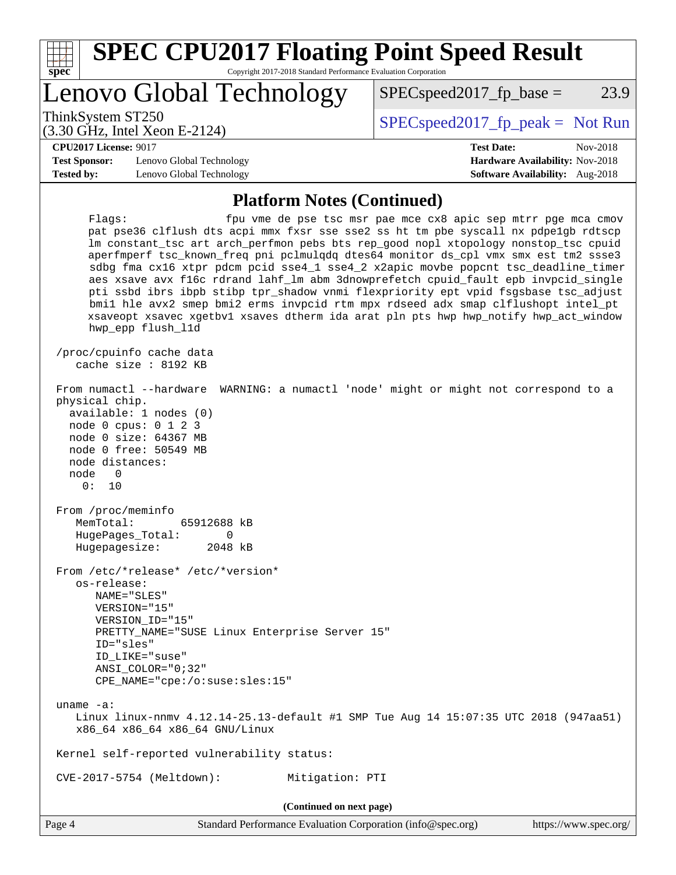

 Linux linux-nnmv 4.12.14-25.13-default #1 SMP Tue Aug 14 15:07:35 UTC 2018 (947aa51) x86\_64 x86\_64 x86\_64 GNU/Linux

Kernel self-reported vulnerability status:

CVE-2017-5754 (Meltdown): Mitigation: PTI

**(Continued on next page)**

Page 4 Standard Performance Evaluation Corporation [\(info@spec.org\)](mailto:info@spec.org) <https://www.spec.org/>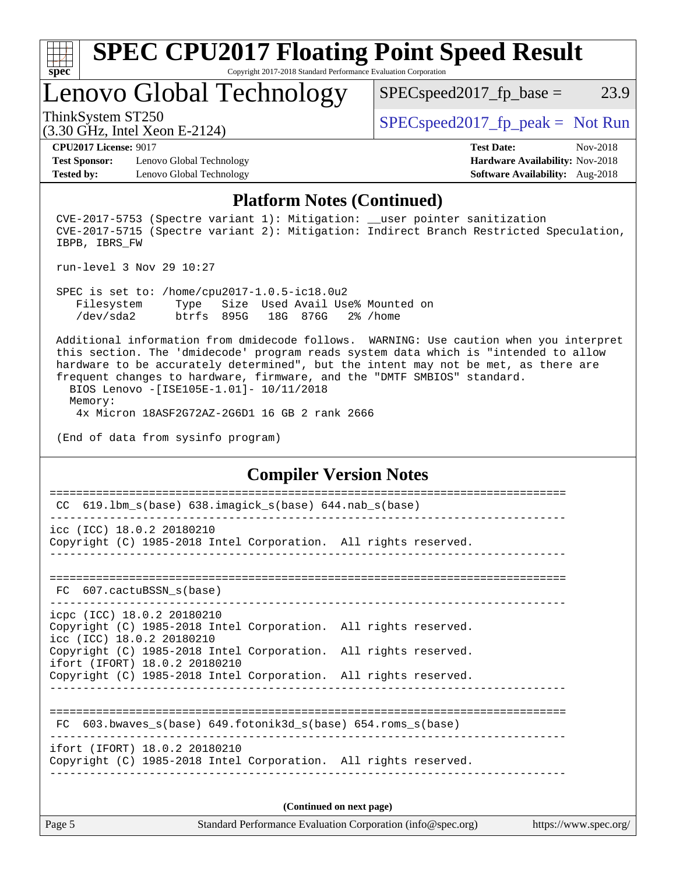

# **[SPEC CPU2017 Floating Point Speed Result](http://www.spec.org/auto/cpu2017/Docs/result-fields.html#SPECCPU2017FloatingPointSpeedResult)**

Copyright 2017-2018 Standard Performance Evaluation Corporation

# Lenovo Global Technology

ThinkSystem ST250  $SPEC speed2017$  [p\_peak = Not Run

(3.30 GHz, Intel Xeon E-2124)

 $SPEC speed2017_fp\_base = 23.9$ 

**[CPU2017 License:](http://www.spec.org/auto/cpu2017/Docs/result-fields.html#CPU2017License)** 9017 **[Test Date:](http://www.spec.org/auto/cpu2017/Docs/result-fields.html#TestDate)** Nov-2018

**[Test Sponsor:](http://www.spec.org/auto/cpu2017/Docs/result-fields.html#TestSponsor)** Lenovo Global Technology **[Hardware Availability:](http://www.spec.org/auto/cpu2017/Docs/result-fields.html#HardwareAvailability)** Nov-2018 **[Tested by:](http://www.spec.org/auto/cpu2017/Docs/result-fields.html#Testedby)** Lenovo Global Technology **[Software Availability:](http://www.spec.org/auto/cpu2017/Docs/result-fields.html#SoftwareAvailability)** Aug-2018

# **[Platform Notes \(Continued\)](http://www.spec.org/auto/cpu2017/Docs/result-fields.html#PlatformNotes)**

 CVE-2017-5753 (Spectre variant 1): Mitigation: \_\_user pointer sanitization CVE-2017-5715 (Spectre variant 2): Mitigation: Indirect Branch Restricted Speculation, IBPB, IBRS\_FW

run-level 3 Nov 29 10:27

 SPEC is set to: /home/cpu2017-1.0.5-ic18.0u2 Filesystem Type Size Used Avail Use% Mounted on /dev/sda2 btrfs 895G 18G 876G 2% /home

 Additional information from dmidecode follows. WARNING: Use caution when you interpret this section. The 'dmidecode' program reads system data which is "intended to allow hardware to be accurately determined", but the intent may not be met, as there are frequent changes to hardware, firmware, and the "DMTF SMBIOS" standard. BIOS Lenovo -[ISE105E-1.01]- 10/11/2018

 Memory: 4x Micron 18ASF2G72AZ-2G6D1 16 GB 2 rank 2666

(End of data from sysinfo program)

## **[Compiler Version Notes](http://www.spec.org/auto/cpu2017/Docs/result-fields.html#CompilerVersionNotes)**

| 619.1bm_s(base) 638.imagick_s(base) 644.nab_s(base)<br>CC.                                       |  |  |  |  |  |  |
|--------------------------------------------------------------------------------------------------|--|--|--|--|--|--|
| icc (ICC) 18.0.2 20180210                                                                        |  |  |  |  |  |  |
| Copyright (C) 1985-2018 Intel Corporation. All rights reserved.                                  |  |  |  |  |  |  |
|                                                                                                  |  |  |  |  |  |  |
| FC 607.cactuBSSN s(base)                                                                         |  |  |  |  |  |  |
| icpc (ICC) 18.0.2 20180210                                                                       |  |  |  |  |  |  |
| Copyright (C) 1985-2018 Intel Corporation. All rights reserved.<br>icc (ICC) 18.0.2 20180210     |  |  |  |  |  |  |
| Copyright (C) 1985-2018 Intel Corporation. All rights reserved.                                  |  |  |  |  |  |  |
| ifort (IFORT) 18.0.2 20180210<br>Copyright (C) 1985-2018 Intel Corporation. All rights reserved. |  |  |  |  |  |  |
| ------------------------                                                                         |  |  |  |  |  |  |
|                                                                                                  |  |  |  |  |  |  |
| 603.bwaves $s(base)$ 649.fotonik3d $s(base)$ 654.roms $s(base)$<br>FC                            |  |  |  |  |  |  |
| ifort (IFORT) 18.0.2 20180210                                                                    |  |  |  |  |  |  |
| Copyright (C) 1985-2018 Intel Corporation. All rights reserved.                                  |  |  |  |  |  |  |
|                                                                                                  |  |  |  |  |  |  |
| (Continued on next page)                                                                         |  |  |  |  |  |  |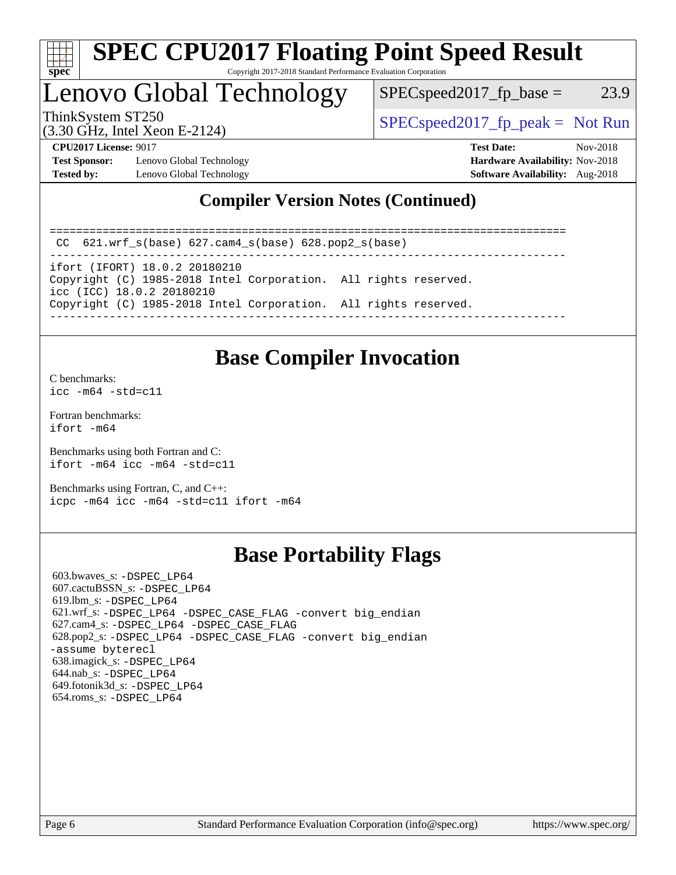

## **[SPEC CPU2017 Floating Point Speed Result](http://www.spec.org/auto/cpu2017/Docs/result-fields.html#SPECCPU2017FloatingPointSpeedResult)** Copyright 2017-2018 Standard Performance Evaluation Corporation

# Lenovo Global Technology

 $SPEC speed2017_fp\_base = 23.9$ 

(3.30 GHz, Intel Xeon E-2124)

ThinkSystem ST250  $SPEC speed2017$  [p\_peak = Not Run

**[Test Sponsor:](http://www.spec.org/auto/cpu2017/Docs/result-fields.html#TestSponsor)** Lenovo Global Technology **[Hardware Availability:](http://www.spec.org/auto/cpu2017/Docs/result-fields.html#HardwareAvailability)** Nov-2018 **[Tested by:](http://www.spec.org/auto/cpu2017/Docs/result-fields.html#Testedby)** Lenovo Global Technology **[Software Availability:](http://www.spec.org/auto/cpu2017/Docs/result-fields.html#SoftwareAvailability)** Aug-2018

**[CPU2017 License:](http://www.spec.org/auto/cpu2017/Docs/result-fields.html#CPU2017License)** 9017 **[Test Date:](http://www.spec.org/auto/cpu2017/Docs/result-fields.html#TestDate)** Nov-2018

## **[Compiler Version Notes \(Continued\)](http://www.spec.org/auto/cpu2017/Docs/result-fields.html#CompilerVersionNotes)**

============================================================================== CC 621.wrf\_s(base) 627.cam4\_s(base) 628.pop2\_s(base) ----------------------------------------------------------------------------- ifort (IFORT) 18.0.2 20180210 Copyright (C) 1985-2018 Intel Corporation. All rights reserved. icc (ICC) 18.0.2 20180210 Copyright (C) 1985-2018 Intel Corporation. All rights reserved. ------------------------------------------------------------------------------

# **[Base Compiler Invocation](http://www.spec.org/auto/cpu2017/Docs/result-fields.html#BaseCompilerInvocation)**

[C benchmarks](http://www.spec.org/auto/cpu2017/Docs/result-fields.html#Cbenchmarks):  $icc - m64 - std = c11$ 

[Fortran benchmarks](http://www.spec.org/auto/cpu2017/Docs/result-fields.html#Fortranbenchmarks): [ifort -m64](http://www.spec.org/cpu2017/results/res2018q4/cpu2017-20181210-10132.flags.html#user_FCbase_intel_ifort_64bit_24f2bb282fbaeffd6157abe4f878425411749daecae9a33200eee2bee2fe76f3b89351d69a8130dd5949958ce389cf37ff59a95e7a40d588e8d3a57e0c3fd751)

[Benchmarks using both Fortran and C](http://www.spec.org/auto/cpu2017/Docs/result-fields.html#BenchmarksusingbothFortranandC): [ifort -m64](http://www.spec.org/cpu2017/results/res2018q4/cpu2017-20181210-10132.flags.html#user_CC_FCbase_intel_ifort_64bit_24f2bb282fbaeffd6157abe4f878425411749daecae9a33200eee2bee2fe76f3b89351d69a8130dd5949958ce389cf37ff59a95e7a40d588e8d3a57e0c3fd751) [icc -m64 -std=c11](http://www.spec.org/cpu2017/results/res2018q4/cpu2017-20181210-10132.flags.html#user_CC_FCbase_intel_icc_64bit_c11_33ee0cdaae7deeeab2a9725423ba97205ce30f63b9926c2519791662299b76a0318f32ddfffdc46587804de3178b4f9328c46fa7c2b0cd779d7a61945c91cd35)

[Benchmarks using Fortran, C, and C++:](http://www.spec.org/auto/cpu2017/Docs/result-fields.html#BenchmarksusingFortranCandCXX) [icpc -m64](http://www.spec.org/cpu2017/results/res2018q4/cpu2017-20181210-10132.flags.html#user_CC_CXX_FCbase_intel_icpc_64bit_4ecb2543ae3f1412ef961e0650ca070fec7b7afdcd6ed48761b84423119d1bf6bdf5cad15b44d48e7256388bc77273b966e5eb805aefd121eb22e9299b2ec9d9) [icc -m64 -std=c11](http://www.spec.org/cpu2017/results/res2018q4/cpu2017-20181210-10132.flags.html#user_CC_CXX_FCbase_intel_icc_64bit_c11_33ee0cdaae7deeeab2a9725423ba97205ce30f63b9926c2519791662299b76a0318f32ddfffdc46587804de3178b4f9328c46fa7c2b0cd779d7a61945c91cd35) [ifort -m64](http://www.spec.org/cpu2017/results/res2018q4/cpu2017-20181210-10132.flags.html#user_CC_CXX_FCbase_intel_ifort_64bit_24f2bb282fbaeffd6157abe4f878425411749daecae9a33200eee2bee2fe76f3b89351d69a8130dd5949958ce389cf37ff59a95e7a40d588e8d3a57e0c3fd751)

# **[Base Portability Flags](http://www.spec.org/auto/cpu2017/Docs/result-fields.html#BasePortabilityFlags)**

 603.bwaves\_s: [-DSPEC\\_LP64](http://www.spec.org/cpu2017/results/res2018q4/cpu2017-20181210-10132.flags.html#suite_basePORTABILITY603_bwaves_s_DSPEC_LP64) 607.cactuBSSN\_s: [-DSPEC\\_LP64](http://www.spec.org/cpu2017/results/res2018q4/cpu2017-20181210-10132.flags.html#suite_basePORTABILITY607_cactuBSSN_s_DSPEC_LP64) 619.lbm\_s: [-DSPEC\\_LP64](http://www.spec.org/cpu2017/results/res2018q4/cpu2017-20181210-10132.flags.html#suite_basePORTABILITY619_lbm_s_DSPEC_LP64) 621.wrf\_s: [-DSPEC\\_LP64](http://www.spec.org/cpu2017/results/res2018q4/cpu2017-20181210-10132.flags.html#suite_basePORTABILITY621_wrf_s_DSPEC_LP64) [-DSPEC\\_CASE\\_FLAG](http://www.spec.org/cpu2017/results/res2018q4/cpu2017-20181210-10132.flags.html#b621.wrf_s_baseCPORTABILITY_DSPEC_CASE_FLAG) [-convert big\\_endian](http://www.spec.org/cpu2017/results/res2018q4/cpu2017-20181210-10132.flags.html#user_baseFPORTABILITY621_wrf_s_convert_big_endian_c3194028bc08c63ac5d04de18c48ce6d347e4e562e8892b8bdbdc0214820426deb8554edfa529a3fb25a586e65a3d812c835984020483e7e73212c4d31a38223) 627.cam4\_s: [-DSPEC\\_LP64](http://www.spec.org/cpu2017/results/res2018q4/cpu2017-20181210-10132.flags.html#suite_basePORTABILITY627_cam4_s_DSPEC_LP64) [-DSPEC\\_CASE\\_FLAG](http://www.spec.org/cpu2017/results/res2018q4/cpu2017-20181210-10132.flags.html#b627.cam4_s_baseCPORTABILITY_DSPEC_CASE_FLAG) 628.pop2\_s: [-DSPEC\\_LP64](http://www.spec.org/cpu2017/results/res2018q4/cpu2017-20181210-10132.flags.html#suite_basePORTABILITY628_pop2_s_DSPEC_LP64) [-DSPEC\\_CASE\\_FLAG](http://www.spec.org/cpu2017/results/res2018q4/cpu2017-20181210-10132.flags.html#b628.pop2_s_baseCPORTABILITY_DSPEC_CASE_FLAG) [-convert big\\_endian](http://www.spec.org/cpu2017/results/res2018q4/cpu2017-20181210-10132.flags.html#user_baseFPORTABILITY628_pop2_s_convert_big_endian_c3194028bc08c63ac5d04de18c48ce6d347e4e562e8892b8bdbdc0214820426deb8554edfa529a3fb25a586e65a3d812c835984020483e7e73212c4d31a38223) [-assume byterecl](http://www.spec.org/cpu2017/results/res2018q4/cpu2017-20181210-10132.flags.html#user_baseFPORTABILITY628_pop2_s_assume_byterecl_7e47d18b9513cf18525430bbf0f2177aa9bf368bc7a059c09b2c06a34b53bd3447c950d3f8d6c70e3faf3a05c8557d66a5798b567902e8849adc142926523472) 638.imagick\_s: [-DSPEC\\_LP64](http://www.spec.org/cpu2017/results/res2018q4/cpu2017-20181210-10132.flags.html#suite_basePORTABILITY638_imagick_s_DSPEC_LP64) 644.nab\_s: [-DSPEC\\_LP64](http://www.spec.org/cpu2017/results/res2018q4/cpu2017-20181210-10132.flags.html#suite_basePORTABILITY644_nab_s_DSPEC_LP64) 649.fotonik3d\_s: [-DSPEC\\_LP64](http://www.spec.org/cpu2017/results/res2018q4/cpu2017-20181210-10132.flags.html#suite_basePORTABILITY649_fotonik3d_s_DSPEC_LP64) 654.roms\_s: [-DSPEC\\_LP64](http://www.spec.org/cpu2017/results/res2018q4/cpu2017-20181210-10132.flags.html#suite_basePORTABILITY654_roms_s_DSPEC_LP64)